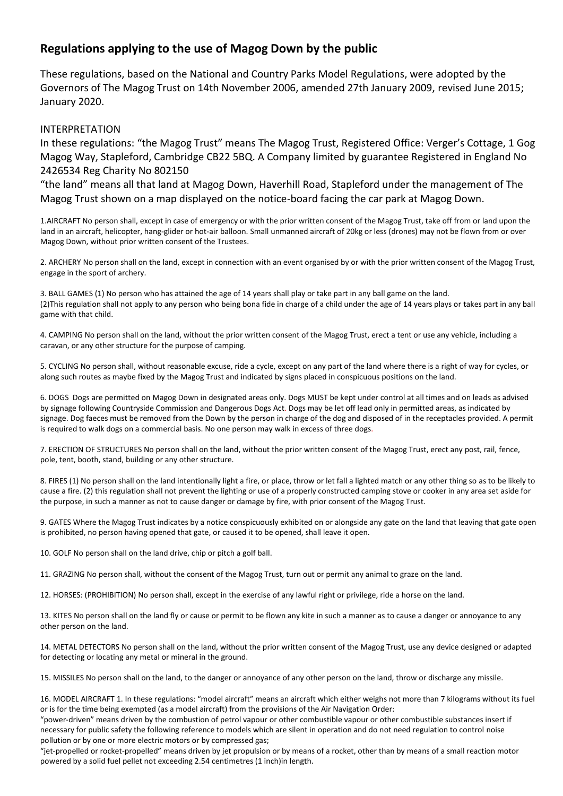## **Regulations applying to the use of Magog Down by the public**

These regulations, based on the National and Country Parks Model Regulations, were adopted by the Governors of The Magog Trust on 14th November 2006, amended 27th January 2009, revised June 2015; January 2020.

## INTERPRETATION

In these regulations: "the Magog Trust" means The Magog Trust, Registered Office: Verger's Cottage, 1 Gog Magog Way, Stapleford, Cambridge CB22 5BQ. A Company limited by guarantee Registered in England No 2426534 Reg Charity No 802150

"the land" means all that land at Magog Down, Haverhill Road, Stapleford under the management of The Magog Trust shown on a map displayed on the notice-board facing the car park at Magog Down.

1.AIRCRAFT No person shall, except in case of emergency or with the prior written consent of the Magog Trust, take off from or land upon the land in an aircraft, helicopter, hang-glider or hot-air balloon. Small unmanned aircraft of 20kg or less (drones) may not be flown from or over Magog Down, without prior written consent of the Trustees.

2. ARCHERY No person shall on the land, except in connection with an event organised by or with the prior written consent of the Magog Trust, engage in the sport of archery.

3. BALL GAMES (1) No person who has attained the age of 14 years shall play or take part in any ball game on the land. (2)This regulation shall not apply to any person who being bona fide in charge of a child under the age of 14 years plays or takes part in any ball game with that child.

4. CAMPING No person shall on the land, without the prior written consent of the Magog Trust, erect a tent or use any vehicle, including a caravan, or any other structure for the purpose of camping.

5. CYCLING No person shall, without reasonable excuse, ride a cycle, except on any part of the land where there is a right of way for cycles, or along such routes as maybe fixed by the Magog Trust and indicated by signs placed in conspicuous positions on the land.

6. DOGS Dogs are permitted on Magog Down in designated areas only. Dogs MUST be kept under control at all times and on leads as advised by signage following Countryside Commission and Dangerous Dogs Act. Dogs may be let off lead only in permitted areas, as indicated by signage. Dog faeces must be removed from the Down by the person in charge of the dog and disposed of in the receptacles provided. A permit is required to walk dogs on a commercial basis. No one person may walk in excess of three dogs.

7. ERECTION OF STRUCTURES No person shall on the land, without the prior written consent of the Magog Trust, erect any post, rail, fence, pole, tent, booth, stand, building or any other structure.

8. FIRES (1) No person shall on the land intentionally light a fire, or place, throw or let fall a lighted match or any other thing so as to be likely to cause a fire. (2) this regulation shall not prevent the lighting or use of a properly constructed camping stove or cooker in any area set aside for the purpose, in such a manner as not to cause danger or damage by fire, with prior consent of the Magog Trust.

9. GATES Where the Magog Trust indicates by a notice conspicuously exhibited on or alongside any gate on the land that leaving that gate open is prohibited, no person having opened that gate, or caused it to be opened, shall leave it open.

10. GOLF No person shall on the land drive, chip or pitch a golf ball.

11. GRAZING No person shall, without the consent of the Magog Trust, turn out or permit any animal to graze on the land.

12. HORSES: (PROHIBITION) No person shall, except in the exercise of any lawful right or privilege, ride a horse on the land.

13. KITES No person shall on the land fly or cause or permit to be flown any kite in such a manner as to cause a danger or annoyance to any other person on the land.

14. METAL DETECTORS No person shall on the land, without the prior written consent of the Magog Trust, use any device designed or adapted for detecting or locating any metal or mineral in the ground.

15. MISSILES No person shall on the land, to the danger or annoyance of any other person on the land, throw or discharge any missile.

16. MODEL AIRCRAFT 1. In these regulations: "model aircraft" means an aircraft which either weighs not more than 7 kilograms without its fuel or is for the time being exempted (as a model aircraft) from the provisions of the Air Navigation Order:

"power-driven" means driven by the combustion of petrol vapour or other combustible vapour or other combustible substances insert if necessary for public safety the following reference to models which are silent in operation and do not need regulation to control noise pollution or by one or more electric motors or by compressed gas;

"jet-propelled or rocket-propelled" means driven by jet propulsion or by means of a rocket, other than by means of a small reaction motor powered by a solid fuel pellet not exceeding 2.54 centimetres (1 inch)in length.